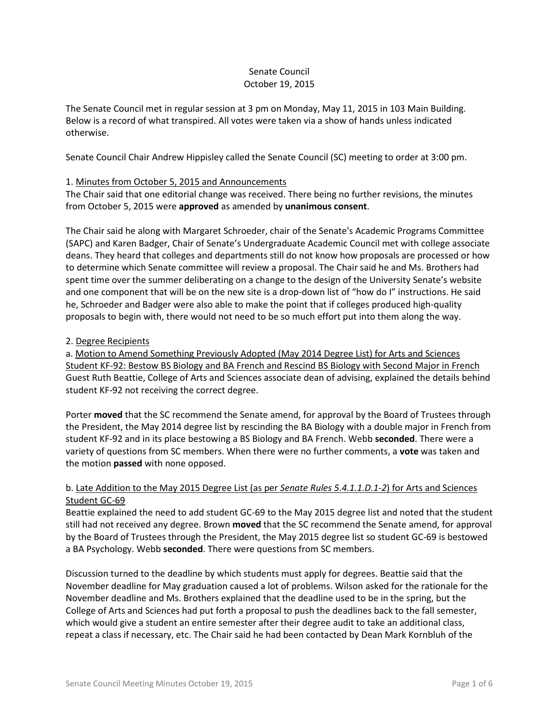# Senate Council October 19, 2015

The Senate Council met in regular session at 3 pm on Monday, May 11, 2015 in 103 Main Building. Below is a record of what transpired. All votes were taken via a show of hands unless indicated otherwise.

Senate Council Chair Andrew Hippisley called the Senate Council (SC) meeting to order at 3:00 pm.

# 1. Minutes from October 5, 2015 and Announcements

The Chair said that one editorial change was received. There being no further revisions, the minutes from October 5, 2015 were **approved** as amended by **unanimous consent**.

The Chair said he along with Margaret Schroeder, chair of the Senate's Academic Programs Committee (SAPC) and Karen Badger, Chair of Senate's Undergraduate Academic Council met with college associate deans. They heard that colleges and departments still do not know how proposals are processed or how to determine which Senate committee will review a proposal. The Chair said he and Ms. Brothers had spent time over the summer deliberating on a change to the design of the University Senate's website and one component that will be on the new site is a drop-down list of "how do I" instructions. He said he, Schroeder and Badger were also able to make the point that if colleges produced high-quality proposals to begin with, there would not need to be so much effort put into them along the way.

## 2. Degree Recipients

a. Motion to Amend Something Previously Adopted (May 2014 Degree List) for Arts and Sciences Student KF-92: Bestow BS Biology and BA French and Rescind BS Biology with Second Major in French Guest Ruth Beattie, College of Arts and Sciences associate dean of advising, explained the details behind student KF-92 not receiving the correct degree.

Porter **moved** that the SC recommend the Senate amend, for approval by the Board of Trustees through the President, the May 2014 degree list by rescinding the BA Biology with a double major in French from student KF-92 and in its place bestowing a BS Biology and BA French. Webb **seconded**. There were a variety of questions from SC members. When there were no further comments, a **vote** was taken and the motion **passed** with none opposed.

# b. Late Addition to the May 2015 Degree List (as per *Senate Rules 5.4.1.1.D.1-2*) for Arts and Sciences Student GC-69

Beattie explained the need to add student GC-69 to the May 2015 degree list and noted that the student still had not received any degree. Brown **moved** that the SC recommend the Senate amend, for approval by the Board of Trustees through the President, the May 2015 degree list so student GC-69 is bestowed a BA Psychology. Webb **seconded**. There were questions from SC members.

Discussion turned to the deadline by which students must apply for degrees. Beattie said that the November deadline for May graduation caused a lot of problems. Wilson asked for the rationale for the November deadline and Ms. Brothers explained that the deadline used to be in the spring, but the College of Arts and Sciences had put forth a proposal to push the deadlines back to the fall semester, which would give a student an entire semester after their degree audit to take an additional class, repeat a class if necessary, etc. The Chair said he had been contacted by Dean Mark Kornbluh of the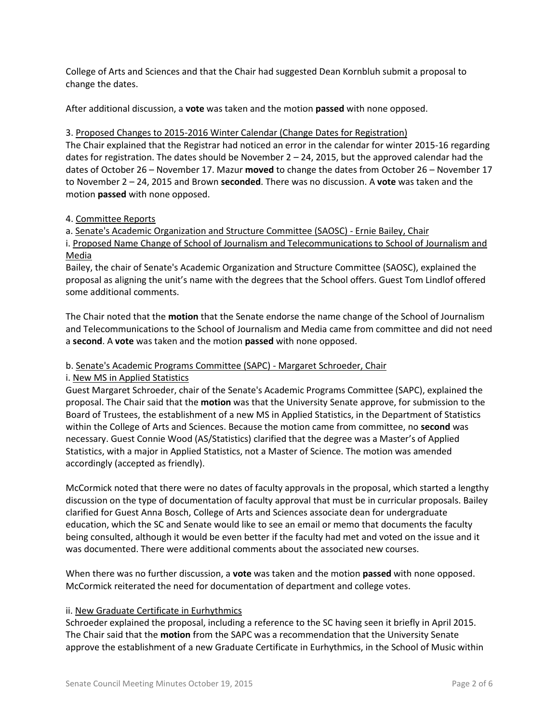College of Arts and Sciences and that the Chair had suggested Dean Kornbluh submit a proposal to change the dates.

After additional discussion, a **vote** was taken and the motion **passed** with none opposed.

## 3. Proposed Changes to 2015-2016 Winter Calendar (Change Dates for Registration)

The Chair explained that the Registrar had noticed an error in the calendar for winter 2015-16 regarding dates for registration. The dates should be November  $2 - 24$ , 2015, but the approved calendar had the dates of October 26 – November 17. Mazur **moved** to change the dates from October 26 – November 17 to November 2 – 24, 2015 and Brown **seconded**. There was no discussion. A **vote** was taken and the motion **passed** with none opposed.

## 4. Committee Reports

a. Senate's Academic Organization and Structure Committee (SAOSC) - Ernie Bailey, Chair

i. Proposed Name Change of School of Journalism and Telecommunications to School of Journalism and Media

Bailey, the chair of Senate's Academic Organization and Structure Committee (SAOSC), explained the proposal as aligning the unit's name with the degrees that the School offers. Guest Tom Lindlof offered some additional comments.

The Chair noted that the **motion** that the Senate endorse the name change of the School of Journalism and Telecommunications to the School of Journalism and Media came from committee and did not need a **second**. A **vote** was taken and the motion **passed** with none opposed.

# b. Senate's Academic Programs Committee (SAPC) - Margaret Schroeder, Chair

i. New MS in Applied Statistics

Guest Margaret Schroeder, chair of the Senate's Academic Programs Committee (SAPC), explained the proposal. The Chair said that the **motion** was that the University Senate approve, for submission to the Board of Trustees, the establishment of a new MS in Applied Statistics, in the Department of Statistics within the College of Arts and Sciences. Because the motion came from committee, no **second** was necessary. Guest Connie Wood (AS/Statistics) clarified that the degree was a Master's of Applied Statistics, with a major in Applied Statistics, not a Master of Science. The motion was amended accordingly (accepted as friendly).

McCormick noted that there were no dates of faculty approvals in the proposal, which started a lengthy discussion on the type of documentation of faculty approval that must be in curricular proposals. Bailey clarified for Guest Anna Bosch, College of Arts and Sciences associate dean for undergraduate education, which the SC and Senate would like to see an email or memo that documents the faculty being consulted, although it would be even better if the faculty had met and voted on the issue and it was documented. There were additional comments about the associated new courses.

When there was no further discussion, a **vote** was taken and the motion **passed** with none opposed. McCormick reiterated the need for documentation of department and college votes.

### ii. New Graduate Certificate in Eurhythmics

Schroeder explained the proposal, including a reference to the SC having seen it briefly in April 2015. The Chair said that the **motion** from the SAPC was a recommendation that the University Senate approve the establishment of a new Graduate Certificate in Eurhythmics, in the School of Music within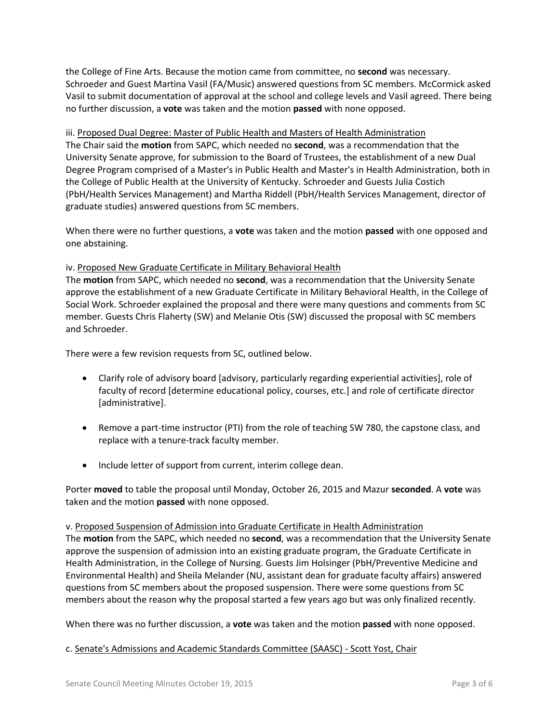the College of Fine Arts. Because the motion came from committee, no **second** was necessary. Schroeder and Guest Martina Vasil (FA/Music) answered questions from SC members. McCormick asked Vasil to submit documentation of approval at the school and college levels and Vasil agreed. There being no further discussion, a **vote** was taken and the motion **passed** with none opposed.

iii. Proposed Dual Degree: Master of Public Health and Masters of Health Administration The Chair said the **motion** from SAPC, which needed no **second**, was a recommendation that the University Senate approve, for submission to the Board of Trustees, the establishment of a new Dual Degree Program comprised of a Master's in Public Health and Master's in Health Administration, both in the College of Public Health at the University of Kentucky. Schroeder and Guests Julia Costich (PbH/Health Services Management) and Martha Riddell (PbH/Health Services Management, director of graduate studies) answered questions from SC members.

When there were no further questions, a **vote** was taken and the motion **passed** with one opposed and one abstaining.

# iv. Proposed New Graduate Certificate in Military Behavioral Health

The **motion** from SAPC, which needed no **second**, was a recommendation that the University Senate approve the establishment of a new Graduate Certificate in Military Behavioral Health, in the College of Social Work. Schroeder explained the proposal and there were many questions and comments from SC member. Guests Chris Flaherty (SW) and Melanie Otis (SW) discussed the proposal with SC members and Schroeder.

There were a few revision requests from SC, outlined below.

- Clarify role of advisory board [advisory, particularly regarding experiential activities], role of faculty of record [determine educational policy, courses, etc.] and role of certificate director [administrative].
- Remove a part-time instructor (PTI) from the role of teaching SW 780, the capstone class, and replace with a tenure-track faculty member.
- Include letter of support from current, interim college dean.

Porter **moved** to table the proposal until Monday, October 26, 2015 and Mazur **seconded**. A **vote** was taken and the motion **passed** with none opposed.

v. Proposed Suspension of Admission into Graduate Certificate in Health Administration The **motion** from the SAPC, which needed no **second**, was a recommendation that the University Senate approve the suspension of admission into an existing graduate program, the Graduate Certificate in Health Administration, in the College of Nursing. Guests Jim Holsinger (PbH/Preventive Medicine and Environmental Health) and Sheila Melander (NU, assistant dean for graduate faculty affairs) answered questions from SC members about the proposed suspension. There were some questions from SC members about the reason why the proposal started a few years ago but was only finalized recently.

When there was no further discussion, a **vote** was taken and the motion **passed** with none opposed.

### c. Senate's Admissions and Academic Standards Committee (SAASC) - Scott Yost, Chair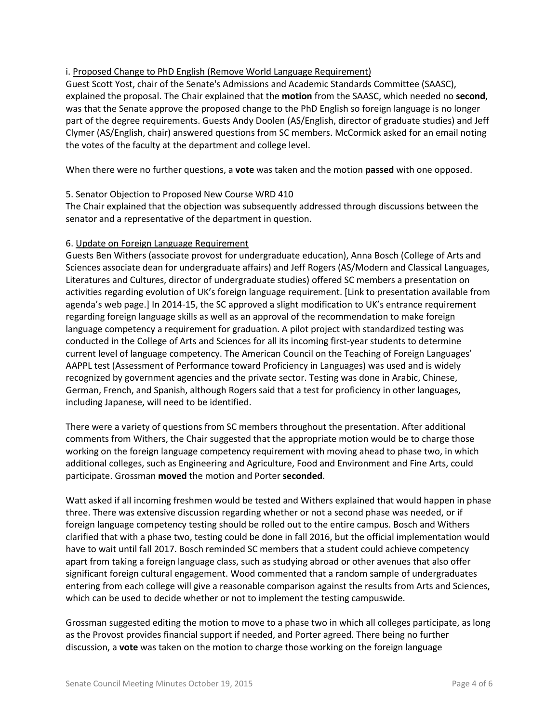# i. Proposed Change to PhD English (Remove World Language Requirement)

Guest Scott Yost, chair of the Senate's Admissions and Academic Standards Committee (SAASC), explained the proposal. The Chair explained that the **motion** from the SAASC, which needed no **second**, was that the Senate approve the proposed change to the PhD English so foreign language is no longer part of the degree requirements. Guests Andy Doolen (AS/English, director of graduate studies) and Jeff Clymer (AS/English, chair) answered questions from SC members. McCormick asked for an email noting the votes of the faculty at the department and college level.

When there were no further questions, a **vote** was taken and the motion **passed** with one opposed.

# 5. Senator Objection to Proposed New Course WRD 410

The Chair explained that the objection was subsequently addressed through discussions between the senator and a representative of the department in question.

# 6. Update on Foreign Language Requirement

Guests Ben Withers (associate provost for undergraduate education), Anna Bosch (College of Arts and Sciences associate dean for undergraduate affairs) and Jeff Rogers (AS/Modern and Classical Languages, Literatures and Cultures, director of undergraduate studies) offered SC members a presentation on activities regarding evolution of UK's foreign language requirement. [Link to presentation available from agenda's web page.] In 2014-15, the SC approved a slight modification to UK's entrance requirement regarding foreign language skills as well as an approval of the recommendation to make foreign language competency a requirement for graduation. A pilot project with standardized testing was conducted in the College of Arts and Sciences for all its incoming first-year students to determine current level of language competency. The American Council on the Teaching of Foreign Languages' AAPPL test (Assessment of Performance toward Proficiency in Languages) was used and is widely recognized by government agencies and the private sector. Testing was done in Arabic, Chinese, German, French, and Spanish, although Rogers said that a test for proficiency in other languages, including Japanese, will need to be identified.

There were a variety of questions from SC members throughout the presentation. After additional comments from Withers, the Chair suggested that the appropriate motion would be to charge those working on the foreign language competency requirement with moving ahead to phase two, in which additional colleges, such as Engineering and Agriculture, Food and Environment and Fine Arts, could participate. Grossman **moved** the motion and Porter **seconded**.

Watt asked if all incoming freshmen would be tested and Withers explained that would happen in phase three. There was extensive discussion regarding whether or not a second phase was needed, or if foreign language competency testing should be rolled out to the entire campus. Bosch and Withers clarified that with a phase two, testing could be done in fall 2016, but the official implementation would have to wait until fall 2017. Bosch reminded SC members that a student could achieve competency apart from taking a foreign language class, such as studying abroad or other avenues that also offer significant foreign cultural engagement. Wood commented that a random sample of undergraduates entering from each college will give a reasonable comparison against the results from Arts and Sciences, which can be used to decide whether or not to implement the testing campuswide.

Grossman suggested editing the motion to move to a phase two in which all colleges participate, as long as the Provost provides financial support if needed, and Porter agreed. There being no further discussion, a **vote** was taken on the motion to charge those working on the foreign language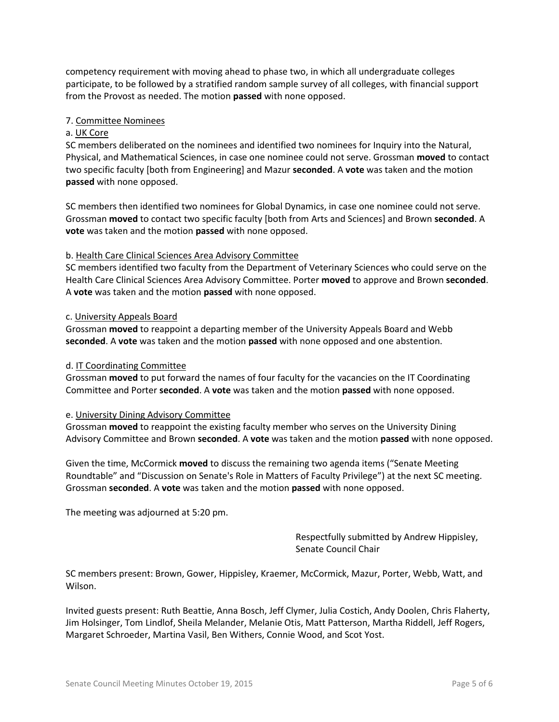competency requirement with moving ahead to phase two, in which all undergraduate colleges participate, to be followed by a stratified random sample survey of all colleges, with financial support from the Provost as needed. The motion **passed** with none opposed.

# 7. Committee Nominees

## a. UK Core

SC members deliberated on the nominees and identified two nominees for Inquiry into the Natural, Physical, and Mathematical Sciences, in case one nominee could not serve. Grossman **moved** to contact two specific faculty [both from Engineering] and Mazur **seconded**. A **vote** was taken and the motion **passed** with none opposed.

SC members then identified two nominees for Global Dynamics, in case one nominee could not serve. Grossman **moved** to contact two specific faculty [both from Arts and Sciences] and Brown **seconded**. A **vote** was taken and the motion **passed** with none opposed.

## b. Health Care Clinical Sciences Area Advisory Committee

SC members identified two faculty from the Department of Veterinary Sciences who could serve on the Health Care Clinical Sciences Area Advisory Committee. Porter **moved** to approve and Brown **seconded**. A **vote** was taken and the motion **passed** with none opposed.

### c. University Appeals Board

Grossman **moved** to reappoint a departing member of the University Appeals Board and Webb **seconded**. A **vote** was taken and the motion **passed** with none opposed and one abstention.

### d. IT Coordinating Committee

Grossman **moved** to put forward the names of four faculty for the vacancies on the IT Coordinating Committee and Porter **seconded**. A **vote** was taken and the motion **passed** with none opposed.

### e. University Dining Advisory Committee

Grossman **moved** to reappoint the existing faculty member who serves on the University Dining Advisory Committee and Brown **seconded**. A **vote** was taken and the motion **passed** with none opposed.

Given the time, McCormick **moved** to discuss the remaining two agenda items ("Senate Meeting Roundtable" and "Discussion on Senate's Role in Matters of Faculty Privilege") at the next SC meeting. Grossman **seconded**. A **vote** was taken and the motion **passed** with none opposed.

The meeting was adjourned at 5:20 pm.

Respectfully submitted by Andrew Hippisley, Senate Council Chair

SC members present: Brown, Gower, Hippisley, Kraemer, McCormick, Mazur, Porter, Webb, Watt, and Wilson.

Invited guests present: Ruth Beattie, Anna Bosch, Jeff Clymer, Julia Costich, Andy Doolen, Chris Flaherty, Jim Holsinger, Tom Lindlof, Sheila Melander, Melanie Otis, Matt Patterson, Martha Riddell, Jeff Rogers, Margaret Schroeder, Martina Vasil, Ben Withers, Connie Wood, and Scot Yost.